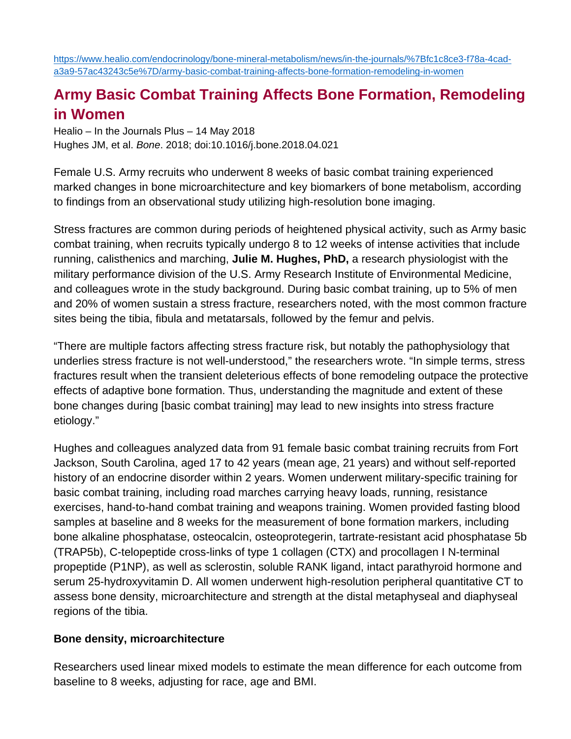[https://www.healio.com/endocrinology/bone-mineral-metabolism/news/in-the-journals/%7Bfc1c8ce3-f78a-4cad](https://www.healio.com/endocrinology/bone-mineral-metabolism/news/in-the-journals/%7Bfc1c8ce3-f78a-4cad-a3a9-57ac43243c5e%7D/army-basic-combat-training-affects-bone-formation-remodeling-in-women)[a3a9-57ac43243c5e%7D/army-basic-combat-training-affects-bone-formation-remodeling-in-women](https://www.healio.com/endocrinology/bone-mineral-metabolism/news/in-the-journals/%7Bfc1c8ce3-f78a-4cad-a3a9-57ac43243c5e%7D/army-basic-combat-training-affects-bone-formation-remodeling-in-women)

## **Army Basic Combat Training Affects Bone Formation, Remodeling in Women**

Healio – In the Journals Plus – 14 May 2018 Hughes JM, et al. *Bone*. 2018; doi:10.1016/j.bone.2018.04.021

Female U.S. Army recruits who underwent 8 weeks of basic combat training experienced marked changes in bone microarchitecture and key biomarkers of bone metabolism, according to findings from an observational study utilizing high-resolution bone imaging.

Stress fractures are common during periods of heightened physical activity, such as Army basic combat training, when recruits typically undergo 8 to 12 weeks of intense activities that include running, calisthenics and marching, **Julie M. Hughes, PhD,** a research physiologist with the military performance division of the U.S. Army Research Institute of Environmental Medicine, and colleagues wrote in the study background. During basic combat training, up to 5% of men and 20% of women sustain a stress fracture, researchers noted, with the most common fracture sites being the tibia, fibula and metatarsals, followed by the femur and pelvis.

"There are multiple factors affecting stress fracture risk, but notably the pathophysiology that underlies stress fracture is not well-understood," the researchers wrote. "In simple terms, stress fractures result when the transient deleterious effects of bone remodeling outpace the protective effects of adaptive bone formation. Thus, understanding the magnitude and extent of these bone changes during [basic combat training] may lead to new insights into stress fracture etiology."

Hughes and colleagues analyzed data from 91 female basic combat training recruits from Fort Jackson, South Carolina, aged 17 to 42 years (mean age, 21 years) and without self-reported history of an endocrine disorder within 2 years. Women underwent military-specific training for basic combat training, including road marches carrying heavy loads, running, resistance exercises, hand-to-hand combat training and weapons training. Women provided fasting blood samples at baseline and 8 weeks for the measurement of bone formation markers, including bone alkaline phosphatase, osteocalcin, osteoprotegerin, tartrate-resistant acid phosphatase 5b (TRAP5b), C-telopeptide cross-links of type 1 collagen (CTX) and procollagen I N-terminal propeptide (P1NP), as well as sclerostin, soluble RANK ligand, intact parathyroid hormone and serum 25-hydroxyvitamin D. All women underwent high-resolution peripheral quantitative CT to assess bone density, microarchitecture and strength at the distal metaphyseal and diaphyseal regions of the tibia.

## **Bone density, microarchitecture**

Researchers used linear mixed models to estimate the mean difference for each outcome from baseline to 8 weeks, adjusting for race, age and BMI.